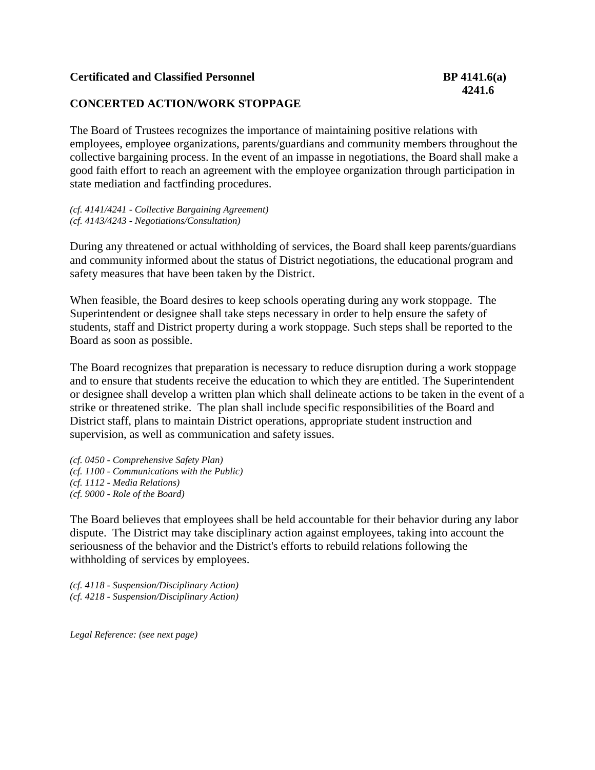## **Certificated and Classified Personnel 6. In the Separate Separate BP 4141.6(a)**

## **CONCERTED ACTION/WORK STOPPAGE**

The Board of Trustees recognizes the importance of maintaining positive relations with employees, employee organizations, parents/guardians and community members throughout the collective bargaining process. In the event of an impasse in negotiations, the Board shall make a good faith effort to reach an agreement with the employee organization through participation in state mediation and factfinding procedures.

*(cf. 4141/4241 - Collective Bargaining Agreement) (cf. 4143/4243 - Negotiations/Consultation)* 

During any threatened or actual withholding of services, the Board shall keep parents/guardians and community informed about the status of District negotiations, the educational program and safety measures that have been taken by the District.

When feasible, the Board desires to keep schools operating during any work stoppage. The Superintendent or designee shall take steps necessary in order to help ensure the safety of students, staff and District property during a work stoppage. Such steps shall be reported to the Board as soon as possible.

The Board recognizes that preparation is necessary to reduce disruption during a work stoppage and to ensure that students receive the education to which they are entitled. The Superintendent or designee shall develop a written plan which shall delineate actions to be taken in the event of a strike or threatened strike. The plan shall include specific responsibilities of the Board and District staff, plans to maintain District operations, appropriate student instruction and supervision, as well as communication and safety issues.

*(cf. 0450 - Comprehensive Safety Plan) (cf. 1100 - Communications with the Public) (cf. 1112 - Media Relations) (cf. 9000 - Role of the Board)*

The Board believes that employees shall be held accountable for their behavior during any labor dispute. The District may take disciplinary action against employees, taking into account the seriousness of the behavior and the District's efforts to rebuild relations following the withholding of services by employees.

*(cf. 4118 - Suspension/Disciplinary Action) (cf. 4218 - Suspension/Disciplinary Action)*

*Legal Reference: (see next page)*